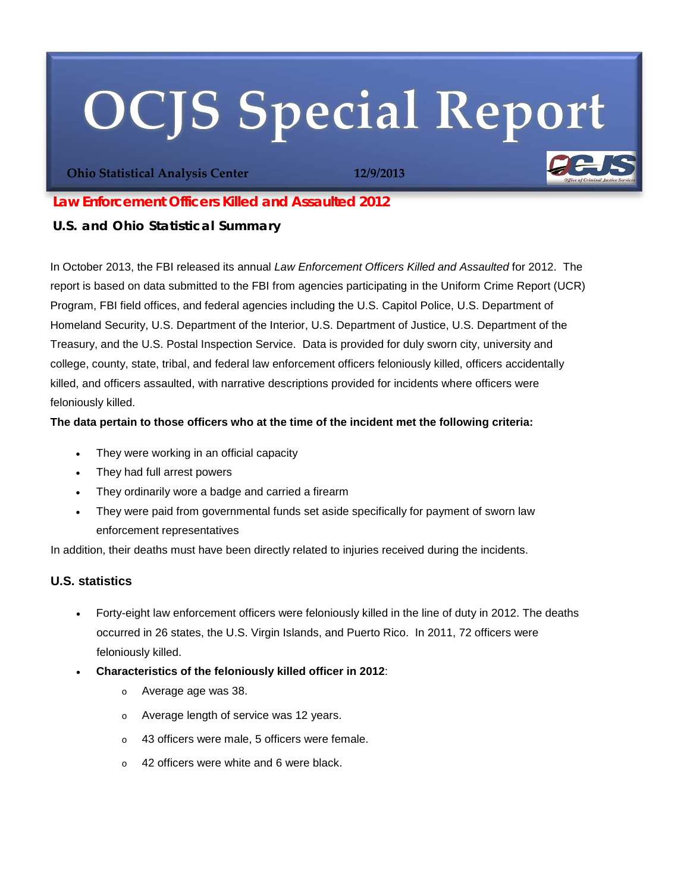# **OCJS Special Report**

**Ohio Statistical Analysis Center 12/9/2013**



## *Law Enforcement Officers Killed and Assaulted 2012*

## **U.S. and Ohio Statistical Summary**

In October 2013, the FBI released its annual *Law Enforcement Officers Killed and Assaulted* for 2012. The report is based on data submitted to the FBI from agencies participating in the Uniform Crime Report (UCR) Program, FBI field offices, and federal agencies including the U.S. Capitol Police, U.S. Department of Homeland Security, U.S. Department of the Interior, U.S. Department of Justice, U.S. Department of the Treasury, and the U.S. Postal Inspection Service. Data is provided for duly sworn city, university and college, county, state, tribal, and federal law enforcement officers feloniously killed, officers accidentally killed, and officers assaulted, with narrative descriptions provided for incidents where officers were feloniously killed.

## **The data pertain to those officers who at the time of the incident met the following criteria:**

- They were working in an official capacity
- They had full arrest powers
- They ordinarily wore a badge and carried a firearm
- They were paid from governmental funds set aside specifically for payment of sworn law enforcement representatives

In addition, their deaths must have been directly related to injuries received during the incidents.

## **U.S. statistics**

- Forty-eight law enforcement officers were feloniously killed in the line of duty in 2012. The deaths occurred in 26 states, the U.S. Virgin Islands, and Puerto Rico. In 2011, 72 officers were feloniously killed.
- **Characteristics of the feloniously killed officer in 2012**:
	- o Average age was 38.
	- o Average length of service was 12 years.
	- o 43 officers were male, 5 officers were female.
	- o 42 officers were white and 6 were black.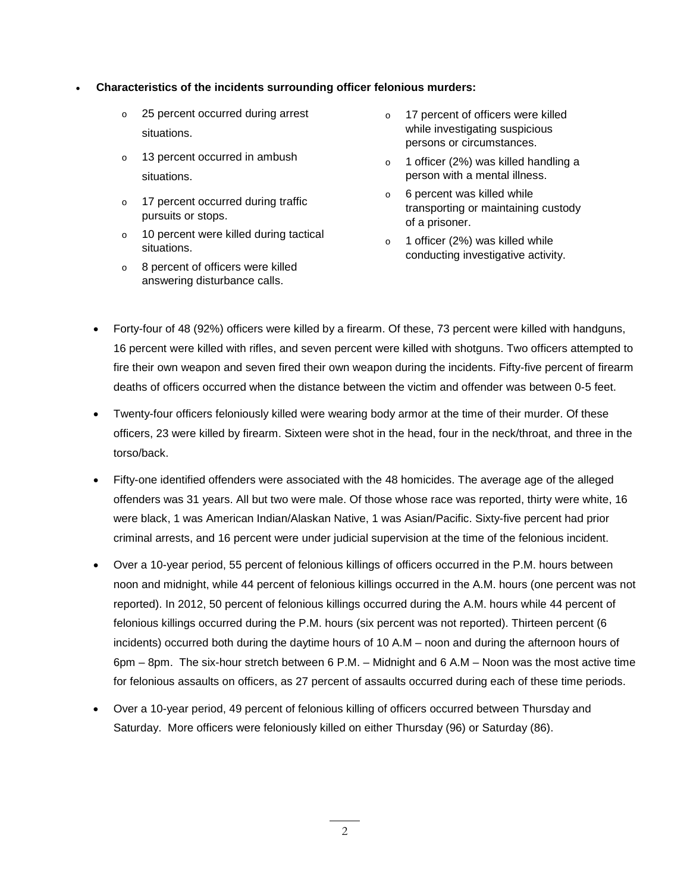#### • **Characteristics of the incidents surrounding officer felonious murders:**

- o 25 percent occurred during arrest situations.
- o 13 percent occurred in ambush situations.
- o 17 percent occurred during traffic pursuits or stops.
- o 10 percent were killed during tactical situations.
- o 8 percent of officers were killed answering disturbance calls.
- o 17 percent of officers were killed while investigating suspicious persons or circumstances.
- o 1 officer (2%) was killed handling a person with a mental illness.
- o 6 percent was killed while transporting or maintaining custody of a prisoner.
- o 1 officer (2%) was killed while conducting investigative activity.
- Forty-four of 48 (92%) officers were killed by a firearm. Of these, 73 percent were killed with handguns, 16 percent were killed with rifles, and seven percent were killed with shotguns. Two officers attempted to fire their own weapon and seven fired their own weapon during the incidents. Fifty-five percent of firearm deaths of officers occurred when the distance between the victim and offender was between 0-5 feet.
- Twenty-four officers feloniously killed were wearing body armor at the time of their murder. Of these officers, 23 were killed by firearm. Sixteen were shot in the head, four in the neck/throat, and three in the torso/back.
- Fifty-one identified offenders were associated with the 48 homicides. The average age of the alleged offenders was 31 years. All but two were male. Of those whose race was reported, thirty were white, 16 were black, 1 was American Indian/Alaskan Native, 1 was Asian/Pacific. Sixty-five percent had prior criminal arrests, and 16 percent were under judicial supervision at the time of the felonious incident.
- Over a 10-year period, 55 percent of felonious killings of officers occurred in the P.M. hours between noon and midnight, while 44 percent of felonious killings occurred in the A.M. hours (one percent was not reported). In 2012, 50 percent of felonious killings occurred during the A.M. hours while 44 percent of felonious killings occurred during the P.M. hours (six percent was not reported). Thirteen percent (6 incidents) occurred both during the daytime hours of 10 A.M – noon and during the afternoon hours of 6pm – 8pm. The six-hour stretch between 6 P.M. – Midnight and 6 A.M – Noon was the most active time for felonious assaults on officers, as 27 percent of assaults occurred during each of these time periods.
- Over a 10-year period, 49 percent of felonious killing of officers occurred between Thursday and Saturday. More officers were feloniously killed on either Thursday (96) or Saturday (86).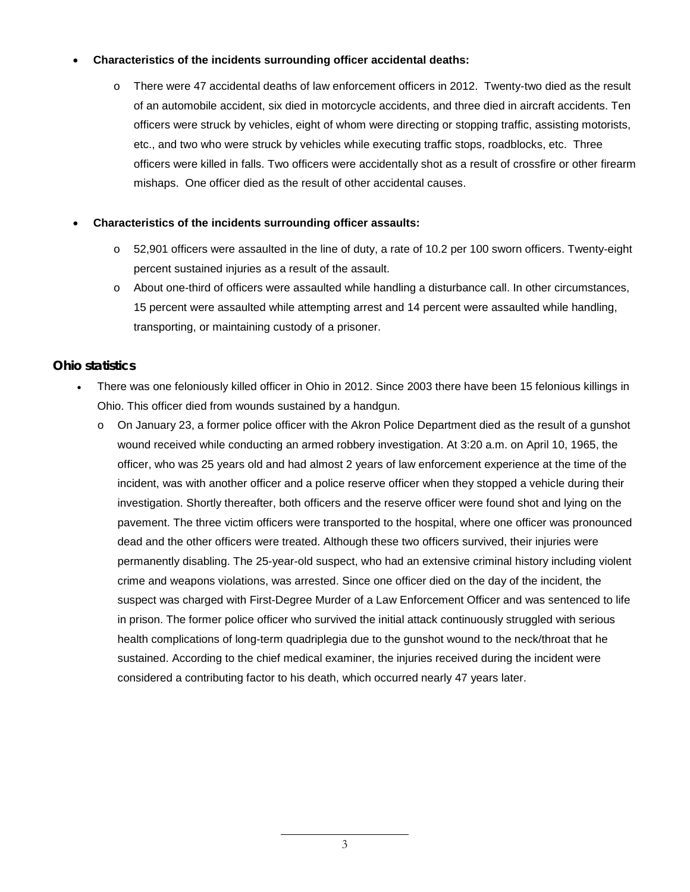#### • **Characteristics of the incidents surrounding officer accidental deaths:**

o There were 47 accidental deaths of law enforcement officers in 2012. Twenty-two died as the result of an automobile accident, six died in motorcycle accidents, and three died in aircraft accidents. Ten officers were struck by vehicles, eight of whom were directing or stopping traffic, assisting motorists, etc., and two who were struck by vehicles while executing traffic stops, roadblocks, etc. Three officers were killed in falls. Two officers were accidentally shot as a result of crossfire or other firearm mishaps. One officer died as the result of other accidental causes.

#### • **Characteristics of the incidents surrounding officer assaults:**

- o 52,901 officers were assaulted in the line of duty, a rate of 10.2 per 100 sworn officers. Twenty-eight percent sustained injuries as a result of the assault.
- o About one-third of officers were assaulted while handling a disturbance call. In other circumstances, 15 percent were assaulted while attempting arrest and 14 percent were assaulted while handling, transporting, or maintaining custody of a prisoner.

## **Ohio statistics**

- There was one feloniously killed officer in Ohio in 2012. Since 2003 there have been 15 felonious killings in Ohio. This officer died from wounds sustained by a handgun.
	- $\circ$  On January 23, a former police officer with the Akron Police Department died as the result of a gunshot wound received while conducting an armed robbery investigation. At 3:20 a.m. on April 10, 1965, the officer, who was 25 years old and had almost 2 years of law enforcement experience at the time of the incident, was with another officer and a police reserve officer when they stopped a vehicle during their investigation. Shortly thereafter, both officers and the reserve officer were found shot and lying on the pavement. The three victim officers were transported to the hospital, where one officer was pronounced dead and the other officers were treated. Although these two officers survived, their injuries were permanently disabling. The 25-year-old suspect, who had an extensive criminal history including violent crime and weapons violations, was arrested. Since one officer died on the day of the incident, the suspect was charged with First-Degree Murder of a Law Enforcement Officer and was sentenced to life in prison. The former police officer who survived the initial attack continuously struggled with serious health complications of long-term quadriplegia due to the gunshot wound to the neck/throat that he sustained. According to the chief medical examiner, the injuries received during the incident were considered a contributing factor to his death, which occurred nearly 47 years later.